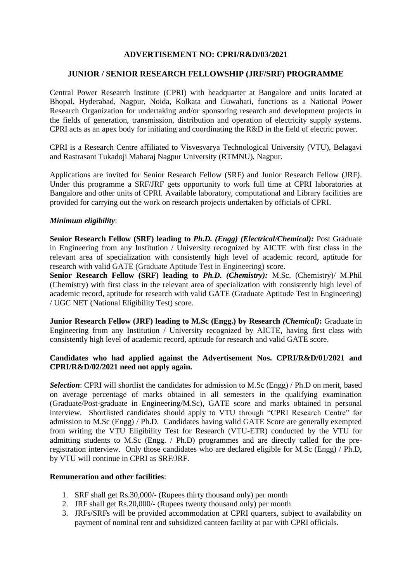## **ADVERTISEMENT NO: CPRI/R&D/03/2021**

### **JUNIOR / SENIOR RESEARCH FELLOWSHIP (JRF/SRF) PROGRAMME**

Central Power Research Institute (CPRI) with headquarter at Bangalore and units located at Bhopal, Hyderabad, Nagpur, Noida, Kolkata and Guwahati, functions as a National Power Research Organization for undertaking and/or sponsoring research and development projects in the fields of generation, transmission, distribution and operation of electricity supply systems. CPRI acts as an apex body for initiating and coordinating the R&D in the field of electric power.

CPRI is a Research Centre affiliated to Visvesvarya Technological University (VTU), Belagavi and Rastrasant Tukadoji Maharaj Nagpur University (RTMNU), Nagpur.

Applications are invited for Senior Research Fellow (SRF) and Junior Research Fellow (JRF). Under this programme a SRF/JRF gets opportunity to work full time at CPRI laboratories at Bangalore and other units of CPRI. Available laboratory, computational and Library facilities are provided for carrying out the work on research projects undertaken by officials of CPRI.

#### *Minimum eligibility*:

**Senior Research Fellow (SRF) leading to** *Ph.D. (Engg) (Electrical/Chemical):* Post Graduate in Engineering from any Institution / University recognized by AICTE with first class in the relevant area of specialization with consistently high level of academic record, aptitude for research with valid GATE (Graduate Aptitude Test in Engineering) score.

**Senior Research Fellow (SRF) leading to** *Ph.D. (Chemistry):* M.Sc. (Chemistry)/ M.Phil (Chemistry) with first class in the relevant area of specialization with consistently high level of academic record, aptitude for research with valid GATE (Graduate Aptitude Test in Engineering) / UGC NET (National Eligibility Test) score.

**Junior Research Fellow (JRF) leading to M.Sc (Engg.) by Research** *(Chemical)***:** Graduate in Engineering from any Institution / University recognized by AICTE, having first class with consistently high level of academic record, aptitude for research and valid GATE score.

## **Candidates who had applied against the Advertisement Nos. CPRI/R&D/01/2021 and CPRI/R&D/02/2021 need not apply again.**

*Selection*: CPRI will shortlist the candidates for admission to M.Sc (Engg) / Ph.D on merit, based on average percentage of marks obtained in all semesters in the qualifying examination (Graduate/Post-graduate in Engineering/M.Sc), GATE score and marks obtained in personal interview. Shortlisted candidates should apply to VTU through "CPRI Research Centre" for admission to M.Sc (Engg) / Ph.D. Candidates having valid GATE Score are generally exempted from writing the VTU Eligibility Test for Research (VTU-ETR) conducted by the VTU for admitting students to M.Sc (Engg. / Ph.D) programmes and are directly called for the preregistration interview. Only those candidates who are declared eligible for M.Sc (Engg) / Ph.D, by VTU will continue in CPRI as SRF/JRF.

#### **Remuneration and other facilities**:

- 1. SRF shall get Rs.30,000/- (Rupees thirty thousand only) per month
- 2. JRF shall get Rs.20,000/- (Rupees twenty thousand only) per month
- 3. JRFs/SRFs will be provided accommodation at CPRI quarters, subject to availability on payment of nominal rent and subsidized canteen facility at par with CPRI officials.